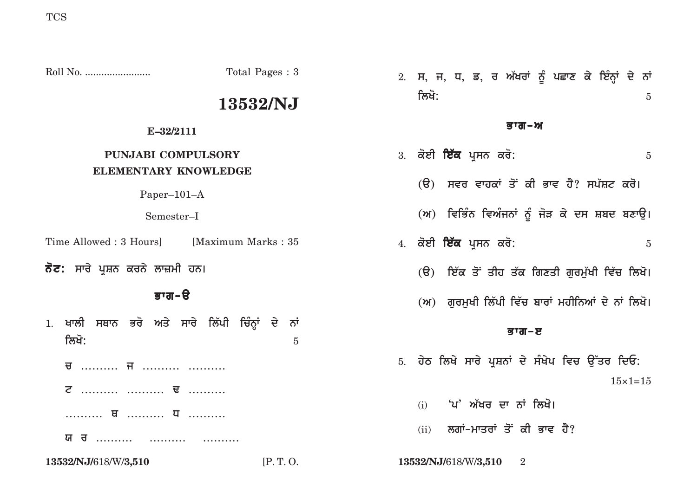|                                                             | Total Pages: 3      | 2. ਸ, ਜ, ਧ, ਡ, ਰ ਅੱਖਰਾਂ ਨੂੰ ਪਛਾਣ ਕੇ ਇੰਨ੍ਹਾਂ ਦੇ ਨਾਂ |
|-------------------------------------------------------------|---------------------|----------------------------------------------------|
|                                                             | 13532/NJ            | ਲਿਖੋ:<br>$\overline{5}$                            |
| E-32/2111                                                   |                     | ਭਾਗ–ਅ                                              |
| PUNJABI COMPULSORY<br><b>ELEMENTARY KNOWLEDGE</b>           |                     | 3. ਕੋਈ <b>ਇੱਕ</b> ਪ੍ਰਸਨ ਕਰੋ:<br>$\overline{5}$     |
| Paper $-101-A$                                              |                     | (ੳ) ਸਵਰ ਵਾਹਕਾਂ ਤੋਂ ਕੀ ਭਾਵ ਹੈ? ਸਪੱਸ਼ਟ ਕਰੋ।          |
| Semester-I                                                  |                     | (ਅ) ਵਿਭਿੰਨ ਵਿਅੰਜਨਾਂ ਨੂੰ ਜੋੜ ਕੇ ਦਸ ਸ਼ਬਦ ਬਣਾਉ।       |
| Time Allowed : 3 Hours]                                     | [Maximum Marks: 35] | 4. ਕੋਈ <b>ਇੱਕ</b> ਪ੍ਰਸਨ ਕਰੋ:<br>$\overline{5}$     |
| <b>ਨੋਟ:</b> ਸਾਰੇ ਪ੍ਰਸ਼ਨ ਕਰਨੇ ਲਾਜ਼ਮੀ ਹਨ।                     |                     | (ੳ) ਇੱਕ ਤੋਂ ਤੀਹ ਤੱਕ ਗਿਣਤੀ ਗੁਰਮੁੱਖੀ ਵਿੱਚ ਲਿਖੋ।      |
| ਭਾਗ-ੳ                                                       |                     | (ਅ) ਗੁਰਮੁਖੀ ਲਿੱਪੀ ਵਿੱਚ ਬਾਰਾਂ ਮਹੀਨਿਆਂ ਦੇ ਨਾਂ ਲਿਖੋ।  |
| ਖਾਲੀ ਸਥਾਨ ਭਰੋ ਅਤੇ ਸਾਰੇ ਲਿੱਪੀ ਚਿੰਨ੍ਹਾਂ ਦੇ ਨਾਂ<br>1.<br>ਲਿਖੋ: | $\overline{5}$      | ਭਾਗ-ੲ                                              |
|                                                             |                     | 5. ਹੇਠ ਲਿਖੇ ਸਾਰੇ ਪ੍ਰਸ਼ਨਾਂ ਦੇ ਸੰਖੇਪ ਵਿਚ ਉੱਤਰ ਦਿਓ:   |
| <b>ट</b> <del>u</del>                                       |                     | $15 \times 1 = 15$                                 |
|                                                             |                     | 'ਪ' ਅੱਖਰ ਦਾ ਨਾਂ ਲਿਖੋ।<br>(i)                       |
| ਯ ਰ                                                         |                     | ਲਗਾਂ-ਮਾਤਰਾਂ ਤੋਂ ਕੀ ਭਾਵ ਹੈ?<br>(ii)                 |
| 13532/NJ/618/W/3,510                                        | [P.T.O.             | 13532/NJ/618/W/3,510<br>$\overline{2}$             |